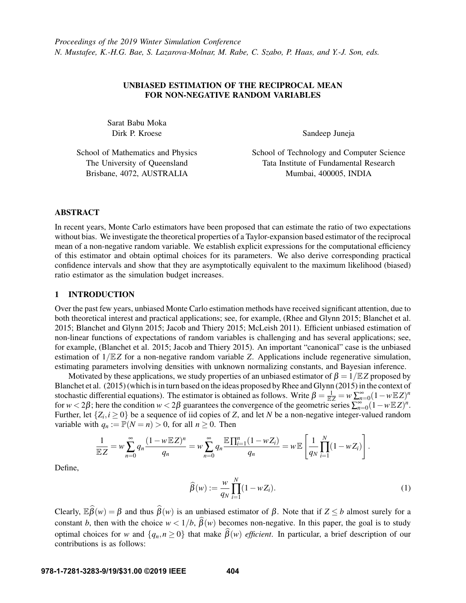# UNBIASED ESTIMATION OF THE RECIPROCAL MEAN FOR NON-NEGATIVE RANDOM VARIABLES

Sarat Babu Moka Dirk P. Kroese

Sandeep Juneja

School of Mathematics and Physics The University of Queensland Brisbane, 4072, AUSTRALIA

School of Technology and Computer Science Tata Institute of Fundamental Research Mumbai, 400005, INDIA

# ABSTRACT

In recent years, Monte Carlo estimators have been proposed that can estimate the ratio of two expectations without bias. We investigate the theoretical properties of a Taylor-expansion based estimator of the reciprocal mean of a non-negative random variable. We establish explicit expressions for the computational efficiency of this estimator and obtain optimal choices for its parameters. We also derive corresponding practical confidence intervals and show that they are asymptotically equivalent to the maximum likelihood (biased) ratio estimator as the simulation budget increases.

## 1 INTRODUCTION

Over the past few years, unbiased Monte Carlo estimation methods have received significant attention, due to both theoretical interest and practical applications; see, for example, [\(Rhee and Glynn 2015;](#page-11-0) [Blanchet et al.](#page-10-0) [2015;](#page-10-0) [Blanchet and Glynn 2015;](#page-10-1) [Jacob and Thiery 2015;](#page-10-2) [McLeish 2011\)](#page-11-1). Efficient unbiased estimation of non-linear functions of expectations of random variables is challenging and has several applications; see, for example, [\(Blanchet et al. 2015;](#page-10-0) [Jacob and Thiery 2015\)](#page-10-2). An important "canonical" case is the unbiased estimation of 1/E*Z* for a non-negative random variable *Z*. Applications include regenerative simulation, estimating parameters involving densities with unknown normalizing constants, and Bayesian inference.

Motivated by these applications, we study properties of an unbiased estimator of  $\beta = 1/\mathbb{E}Z$  proposed by [Blanchet et al. \(2015\)](#page-10-0) (which is in turn based on the ideas proposed by [Rhee and Glynn \(2015\)](#page-11-0) in the context of stochastic differential equations). The estimator is obtained as follows. Write  $\beta = \frac{1}{\mathbb{E}Z} = w \sum_{n=0}^{\infty} (1 - w \mathbb{E}Z)^n$ for  $w < 2\beta$ ; here the condition  $w < 2\beta$  guarantees the convergence of the geometric series  $\sum_{n=0}^{\infty} (1 - w \mathbb{E} Z)^n$ . Further, let  $\{Z_i, i \geq 0\}$  be a sequence of iid copies of *Z*, and let *N* be a non-negative integer-valued random variable with  $q_n := \mathbb{P}(N = n) > 0$ , for all  $n \geq 0$ . Then

$$
\frac{1}{\mathbb{E}Z} = w \sum_{n=0}^{\infty} q_n \frac{(1 - w \mathbb{E}Z)^n}{q_n} = w \sum_{n=0}^{\infty} q_n \frac{\mathbb{E} \prod_{i=1}^n (1 - wZ_i)}{q_n} = w \mathbb{E} \left[ \frac{1}{q_N} \prod_{i=1}^N (1 - wZ_i) \right].
$$

Define,

<span id="page-0-0"></span>
$$
\widehat{\beta}(w) := \frac{w}{q_N} \prod_{i=1}^N (1 - wZ_i). \tag{1}
$$

Clearly,  $\mathbb{E}\widehat{\beta}(w) = \beta$  and thus  $\widehat{\beta}(w)$  is an unbiased estimator of  $\beta$ . Note that if  $Z \le b$  almost surely for a constant *b*, then with the choice  $w < 1/b$ ,  $\beta(w)$  becomes non-negative. In this paper, the goal is to study optimal choices for *w* and  $\{q_n, n \geq 0\}$  that make  $\widehat{\beta}(w)$  *efficient*. In particular, a brief description of our contributions is as follows: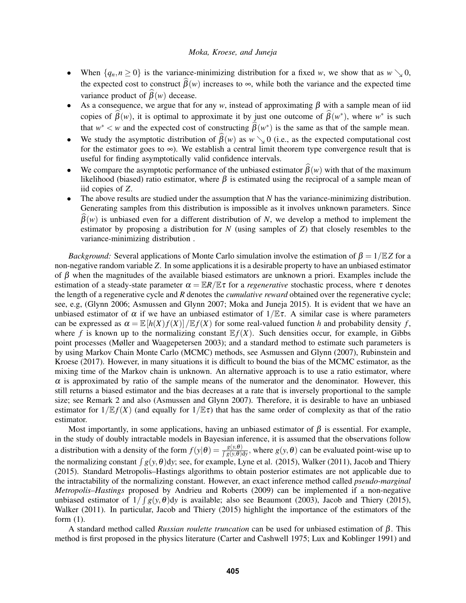- When  $\{q_n, n \geq 0\}$  is the variance-minimizing distribution for a fixed *w*, we show that as  $w \searrow 0$ , the expected cost to construct  $\widehat{\beta}(w)$  increases to  $\infty$ , while both the variance and the expected time variance product of  $\widehat{\beta}(w)$  decease.
- As a consequence, we argue that for any *w*, instead of approximating  $\beta$  with a sample mean of iid copies of  $\hat{\beta}(w)$ , it is optimal to approximate it by just one outcome of  $\hat{\beta}(w^*)$ , where  $w^*$  is such that  $w^* < w$  and the expected cost of constructing  $\hat{\beta}(w^*)$  is the same as that of the sample mean.
- We study the asymptotic distribution of  $\hat{\beta}(w)$  as  $w \searrow 0$  (i.e., as the expected computational cost for the estimator goes to  $\infty$ ). We establish a central limit theorem type convergence result that is useful for finding asymptotically valid confidence intervals.
- We compare the asymptotic performance of the unbiased estimator  $\hat{\beta}(w)$  with that of the maximum likelihood (biased) ratio estimator, where  $\beta$  is estimated using the reciprocal of a sample mean of iid copies of *Z*.
- The above results are studied under the assumption that *N* has the variance-minimizing distribution. Generating samples from this distribution is impossible as it involves unknown parameters. Since  $\beta(w)$  is unbiased even for a different distribution of *N*, we develop a method to implement the estimator by proposing a distribution for *N* (using samples of *Z*) that closely resembles to the variance-minimizing distribution .

*Background:* Several applications of Monte Carlo simulation involve the estimation of  $\beta = 1/\mathbb{E}Z$  for a non-negative random variable *Z*. In some applications it is a desirable property to have an unbiased estimator of  $\beta$  when the magnitudes of the available biased estimators are unknown a priori. Examples include the estimation of a steady-state parameter  $\alpha = \mathbb{E}R/\mathbb{E}\tau$  for a *regenerative* stochastic process, where  $\tau$  denotes the length of a regenerative cycle and *R* denotes the *cumulative reward* obtained over the regenerative cycle; see, e.g, [\(Glynn 2006;](#page-10-3) [Asmussen and Glynn 2007;](#page-10-4) [Moka and Juneja 2015\)](#page-11-2). It is evident that we have an unbiased estimator of  $\alpha$  if we have an unbiased estimator of  $1/\mathbb{E}\tau$ . A similar case is where parameters can be expressed as  $\alpha = \mathbb{E}[h(X)f(X)]/\mathbb{E}f(X)$  for some real-valued function h and probability density f, where f is known up to the normalizing constant  $E f(X)$ . Such densities occur, for example, in Gibbs point processes [\(Møller and Waagepetersen 2003\)](#page-11-3); and a standard method to estimate such parameters is by using Markov Chain Monte Carlo (MCMC) methods, see [Asmussen and Glynn \(2007\),](#page-10-4) [Rubinstein and](#page-11-4) [Kroese \(2017\).](#page-11-4) However, in many situations it is difficult to bound the bias of the MCMC estimator, as the mixing time of the Markov chain is unknown. An alternative approach is to use a ratio estimator, where  $\alpha$  is approximated by ratio of the sample means of the numerator and the denominator. However, this still returns a biased estimator and the bias decreases at a rate that is inversely proportional to the sample size; see Remark [2](#page-4-0) and also [\(Asmussen and Glynn 2007\)](#page-10-4). Therefore, it is desirable to have an unbiased estimator for  $1/\mathbb{E}f(X)$  (and equally for  $1/\mathbb{E}t$ ) that has the same order of complexity as that of the ratio estimator.

Most importantly, in some applications, having an unbiased estimator of  $\beta$  is essential. For example, in the study of doubly intractable models in Bayesian inference, it is assumed that the observations follow a distribution with a density of the form  $f(y|\theta) = \frac{g(y,\theta)}{\int g(y,\theta)dy}$ , where  $g(y,\theta)$  can be evaluated point-wise up to the normalizing constant  $\int g(y, \theta) dy$ ; see, for example, [Lyne et al. \(2015\),](#page-10-5) [Walker \(2011\),](#page-11-5) [Jacob and Thiery](#page-10-2) [\(2015\).](#page-10-2) Standard Metropolis–Hastings algorithms to obtain posterior estimates are not applicable due to the intractability of the normalizing constant. However, an exact inference method called *pseudo-marginal Metropolis–Hastings* proposed by [Andrieu and Roberts \(2009\)](#page-10-6) can be implemented if a non-negative unbiased estimator of  $1/\int g(y,\theta) dy$  is available; also see [Beaumont \(2003\),](#page-10-7) [Jacob and Thiery \(2015\),](#page-10-2) [Walker \(2011\).](#page-11-5) In particular, [Jacob and Thiery \(2015\)](#page-10-2) highlight the importance of the estimators of the form [\(1\)](#page-0-0).

A standard method called *Russian roulette truncation* can be used for unbiased estimation of β. This method is first proposed in the physics literature [\(Carter and Cashwell 1975;](#page-10-8) [Lux and Koblinger 1991\)](#page-10-9) and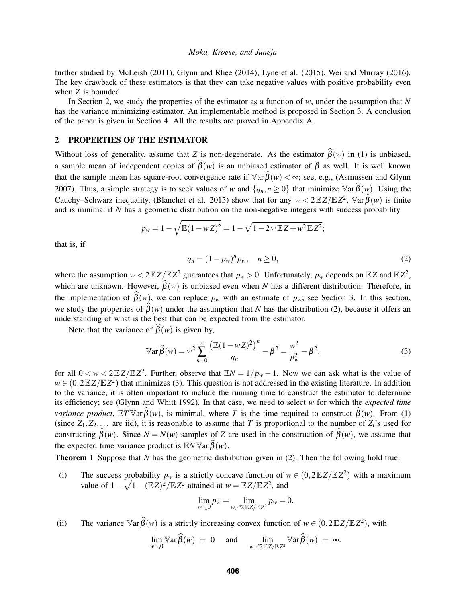further studied by [McLeish \(2011\),](#page-11-1) [Glynn and Rhee \(2014\),](#page-10-10) [Lyne et al. \(2015\),](#page-10-5) [Wei and Murray \(2016\).](#page-11-6) The key drawback of these estimators is that they can take negative values with positive probability even when *Z* is bounded.

In Section [2,](#page-2-0) we study the properties of the estimator as a function of *w*, under the assumption that *N* has the variance minimizing estimator. An implementable method is proposed in Section [3.](#page-5-0) A conclusion of the paper is given in Section [4.](#page-5-1) All the results are proved in Appendix [A.](#page-6-0)

# <span id="page-2-0"></span>2 PROPERTIES OF THE ESTIMATOR

Without loss of generality, assume that *Z* is non-degenerate. As the estimator  $\hat{\beta}(w)$  in [\(1\)](#page-0-0) is unbiased, a sample mean of independent copies of  $\widehat{\beta}(w)$  is an unbiased estimator of  $\beta$  as well. It is well known that the sample mean has square-root convergence rate if  $\mathbb{V}\text{ar}\widehat{B}(w) < \infty$ ; see, e.g., [\(Asmussen and Glynn](#page-10-4) [2007\)](#page-10-4). Thus, a simple strategy is to seek values of *w* and  $\{q_n, n \ge 0\}$  that minimize  $\mathbb{V}\text{ar}\widehat{\beta}(w)$ . Using the Cauchy–Schwarz inequality, [\(Blanchet et al. 2015\)](#page-10-0) show that for any  $w < 2\mathbb{E}Z/\mathbb{E}Z^2$ ,  $\mathbb{V}\text{ar}\widehat{\beta}(w)$  is finite and is minimal if *N* has a geometric distribution on the non-negative integers with success probability

$$
p_w = 1 - \sqrt{\mathbb{E}(1 - wZ)^2} = 1 - \sqrt{1 - 2w \mathbb{E}Z + w^2 \mathbb{E}Z^2};
$$

that is, if

<span id="page-2-2"></span><span id="page-2-1"></span>
$$
q_n = (1 - p_w)^n p_w, \quad n \ge 0,
$$
\n(2)

where the assumption  $w < 2\mathbb{E}Z/\mathbb{E}Z^2$  guarantees that  $p_w > 0$ . Unfortunately,  $p_w$  depends on  $\mathbb{E}Z$  and  $\mathbb{E}Z^2$ , which are unknown. However,  $\hat{\beta}(w)$  is unbiased even when *N* has a different distribution. Therefore, in the implementation of  $\widehat{\beta}(w)$ , we can replace  $p_w$  with an estimate of  $p_w$ ; see Section [3.](#page-5-0) In this section, we study the properties of  $\widehat{\beta}(w)$  under the assumption that *N* has the distribution [\(2\)](#page-2-1), because it offers an understanding of what is the best that can be expected from the estimator.

Note that the variance of  $\widehat{\beta}(w)$  is given by,

$$
\mathbb{V}\text{ar}\,\widehat{\beta}(w) = w^2 \sum_{n=0}^{\infty} \frac{\left(\mathbb{E}(1 - wZ)^2\right)^n}{q_n} - \beta^2 = \frac{w^2}{p_w^2} - \beta^2,\tag{3}
$$

for all  $0 < w < 2\mathbb{E}Z/\mathbb{E}Z^2$ . Further, observe that  $\mathbb{E}N = 1/p_w - 1$ . Now we can ask what is the value of  $w \in (0,2\mathbb{E}Z/\mathbb{E}Z^2)$  that minimizes [\(3\)](#page-2-2). This question is not addressed in the existing literature. In addition to the variance, it is often important to include the running time to construct the estimator to determine its efficiency; see [\(Glynn and Whitt 1992\)](#page-10-11). In that case, we need to select *w* for which the *expected time variance product*,  $\mathbb{E}T \mathbb{V}$ ar $\widehat{\beta}(w)$ , is minimal, where *T* is the time required to construct  $\widehat{\beta}(w)$ . From [\(1\)](#page-0-0) (since  $Z_1, Z_2, \ldots$  are iid), it is reasonable to assume that *T* is proportional to the number of  $Z_i$ 's used for constructing  $\widehat{\beta}(w)$ . Since  $N = N(w)$  samples of *Z* are used in the construction of  $\widehat{\beta}(w)$ , we assume that the expected time variance product is  $\mathbb{E}N \mathbb{V}$ ar  $\widehat{\beta}(w)$ .

<span id="page-2-3"></span>**Theorem 1** Suppose that *N* has the geometric distribution given in [\(2\)](#page-2-1). Then the following hold true.

(i) The success probability  $p_w$  is a strictly concave function of  $w \in (0, 2 \mathbb{E} Z / \mathbb{E} Z^2)$  with a maximum value of  $1 - \sqrt{1 - (\mathbb{E}Z)^2 / \mathbb{E}Z^2}$  attained at  $w = \mathbb{E}Z / \mathbb{E}Z^2$ , and

$$
\lim_{w\searrow 0}p_w=\lim_{w\nearrow 2\mathbb{E}Z/\mathbb{E}Z^2}p_w=0.
$$

(ii) The variance  $\mathbb{V}\text{ar}\widehat{\beta}(w)$  is a strictly increasing convex function of  $w \in (0, 2\mathbb{E}Z/\mathbb{E}Z^2)$ , with

$$
\lim_{w\searrow 0} \mathbb{V}\text{ar}\widehat{\beta}(w) = 0 \quad \text{and} \quad \lim_{w\nearrow 2 \mathbb{E}Z/\mathbb{E}Z^2} \mathbb{V}\text{ar}\widehat{\beta}(w) = \infty.
$$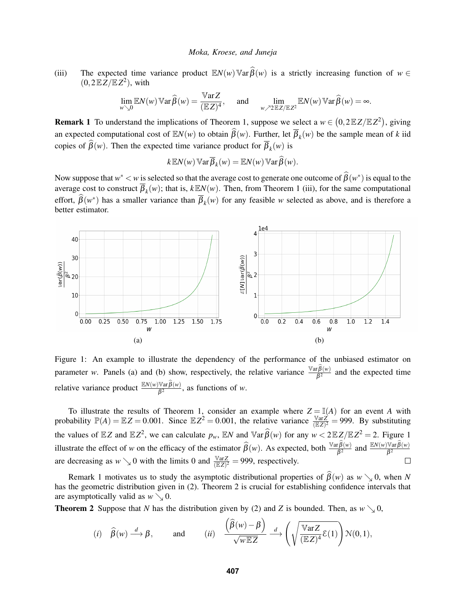(iii) The expected time variance product  $\mathbb{E}N(w)\mathbb{V}\text{ar}\widehat{\beta}(w)$  is a strictly increasing function of  $w \in$  $(0,2\mathbb{E}\overline{Z}/\mathbb{E}Z^2)$ , with

$$
\lim_{w \searrow 0} \mathbb{E}N(w) \mathbb{V}\text{ar}\widehat{\beta}(w) = \frac{\mathbb{V}\text{ar}Z}{(\mathbb{E}Z)^4}, \quad \text{and} \quad \lim_{w \nearrow 2} \mathbb{E}Z/\mathbb{E}Z^2} \mathbb{E}N(w) \mathbb{V}\text{ar}\widehat{\beta}(w) = \infty.
$$

<span id="page-3-1"></span>**Remark 1** To understand the implications of Theorem [1,](#page-2-3) suppose we select a  $w \in (0, 2EZ/EZ^2)$ , giving an expected computational cost of  $\mathbb{E}N(w)$  to obtain  $\widehat{\beta}(w)$ . Further, let  $\overline{\beta}_k(w)$  be the sample mean of *k* iid copies of  $\beta(w)$ . Then the expected time variance product for  $\beta_k(w)$  is

$$
k \mathbb{E} N(w) \mathbb{V} \text{ar} \overline{\beta}_k(w) = \mathbb{E} N(w) \mathbb{V} \text{ar} \widehat{\beta}(w).
$$

Now suppose that  $w^* < w$  is selected so that the average cost to generate one outcome of  $\widehat{\beta}(w^*)$  is equal to the average cost to construct  $\overline{\beta}_k(w)$ ; that is,  $k \mathbb{E}N(w)$ . Then, from Theorem [1](#page-2-3) (iii), for the same computational effort,  $\hat{\beta}(w^*)$  has a smaller variance than  $\overline{\beta}_k(w)$  for any feasible *w* selected as above, and is therefore a better estimator.

<span id="page-3-0"></span>

Figure 1: An example to illustrate the dependency of the performance of the unbiased estimator on parameter *w*. Panels (a) and (b) show, respectively, the relative variance  $\frac{\sqrt{ar} \hat{\beta}(w)}{\beta^2}$  and the expected time relative variance product  $\frac{\mathbb{E}N(w)\mathbb{V}\text{ar}\hat{\beta}(w)}{\hat{\beta}^2}$ , as functions of *w*.

To illustrate the results of Theorem [1,](#page-2-3) consider an example where  $Z = I(A)$  for an event *A* with probability  $\mathbb{P}(A) = \mathbb{E}Z = 0.001$ . Since  $\mathbb{E}Z^2 = 0.001$ , the relative variance  $\frac{\mathbb{V}\text{ar}\vec{Z}}{(\mathbb{E}Z)^2} = 999$ . By substituting the values of  $\mathbb{E}Z$  and  $\mathbb{E}Z^2$ , we can calculate  $p_w$ ,  $\mathbb{E}N$  and  $\mathbb{V}\text{ar}\widehat{\beta}(w)$  for any  $w < 2\mathbb{E}Z/\mathbb{E}Z^2 = 2$ . Figure [1](#page-3-0) illustrate the effect of *w* on the efficacy of the estimator  $\hat{\beta}(w)$ . As expected, both  $\frac{\sqrt{w_{\hat{\beta}}(w)}}{\beta^2}$  and  $\frac{\sqrt{w_{\hat{\beta}}(w)}}{\beta^2}$ are decreasing as  $w \searrow 0$  with the limits 0 and  $\frac{\text{Var}Z}{(\mathbb{E}Z)^2} = 999$ , respectively.  $\Box$ 

Remark [1](#page-3-1) motivates us to study the asymptotic distributional properties of  $\beta(w)$  as  $w \searrow 0$ , when *N* has the geometric distribution given in [\(2\)](#page-2-1). Theorem [2](#page-3-2) is crucial for establishing confidence intervals that are asymptotically valid as  $w \searrow 0$ .

<span id="page-3-2"></span>**Theorem 2** Suppose that *N* has the distribution given by [\(2\)](#page-2-1) and *Z* is bounded. Then, as  $w \searrow 0$ ,

(i) 
$$
\widehat{\beta}(w) \stackrel{d}{\longrightarrow} \beta
$$
, and (ii)  $\frac{\left(\widehat{\beta}(w) - \beta\right)}{\sqrt{w \mathbb{E}Z}} \stackrel{d}{\longrightarrow} \left(\sqrt{\frac{\mathbb{V}\arZ}{(\mathbb{E}Z)^4}} \mathcal{E}(1)\right) \mathcal{N}(0,1),$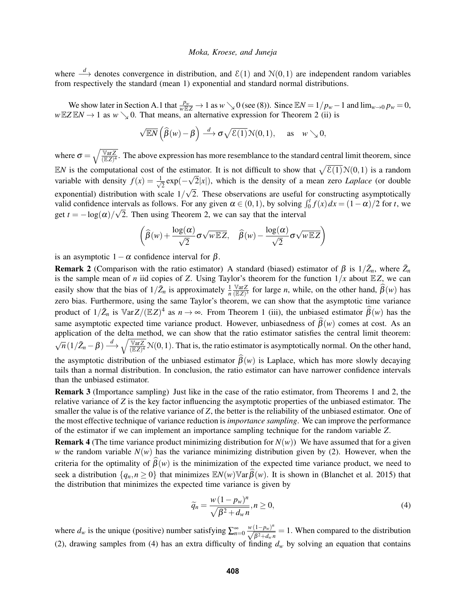where  $\stackrel{d}{\longrightarrow}$  denotes convergence in distribution, and  $\mathcal{E}(1)$  and  $\mathcal{N}(0,1)$  are independent random variables from respectively the standard (mean 1) exponential and standard normal distributions.

We show later in Section [A.1](#page-6-1) that  $\frac{p_w}{w \to Z} \to 1$  as  $w \searrow 0$  (see [\(8\)](#page-6-2)). Since  $\mathbb{E}N = 1/p_w - 1$  and  $\lim_{w \to 0} p_w = 0$ ,  $wEZEN \rightarrow 1$  as  $w \searrow 0$ . That means, an alternative expression for Theorem [2](#page-3-2) (ii) is

$$
\sqrt{\mathbb{E}N}\left(\widehat{\beta}(w)-\beta\right) \stackrel{d}{\longrightarrow} \sigma\sqrt{\mathcal{E}(1)}\,\mathcal{N}(0,1), \quad \text{as} \quad w \searrow 0,
$$

where  $\sigma = \sqrt{\frac{\text{Var}Z}{(EZ)^4}}$ . The above expression has more resemblance to the standard central limit theorem, since EN is the computational cost of the estimator. It is not difficult to show that  $\sqrt{\mathcal{E}(1)}\mathcal{N}(0,1)$  is a random variable with density  $f(x) = \frac{1}{\sqrt{2}}$  $\frac{1}{2} \exp(-\sqrt{2}|x|)$ , which is the density of a mean zero *Laplace* (or double exponential) distribution with scale  $1/\sqrt{2}$ . These observations are useful for constructing asymptotically valid confidence intervals as follows. For any given  $\alpha \in (0,1)$ , by solving  $\int_0^t f(x) dx = (1 - \alpha)/2$  for *t*, we get  $t = -\log(\alpha)/\sqrt{2}$ . Then using Theorem [2,](#page-3-2) we can say that the interval

$$
\left(\widehat{\beta}(w) + \frac{\log(\alpha)}{\sqrt{2}} \sigma \sqrt{w \mathbb{E}Z}, \quad \widehat{\beta}(w) - \frac{\log(\alpha)}{\sqrt{2}} \sigma \sqrt{w \mathbb{E}Z}\right)
$$

is an asymptotic  $1-\alpha$  confidence interval for  $\beta$ .

<span id="page-4-0"></span>**Remark 2** (Comparison with the ratio estimator) A standard (biased) estimator of  $\beta$  is  $1/\overline{Z}_n$ , where  $\overline{Z}_n$  is the sample mean of *n* iid copies of *Z*. Using Taylor's theorem for the function  $1/x$  about  $\mathbb{E}$ easily show that the bias of  $1/\bar{Z}_n$  is approximately  $\frac{1}{n} \frac{\text{Var}Z}{(EZ)^2}$  $\frac{\sqrt{2K}}{E(Z)^3}$  for large *n*, while, on the other hand,  $\beta(w)$  has zero bias. Furthermore, using the same Taylor's theorem, we can show that the asymptotic time variance product of  $1/\bar{Z}_n$  $1/\bar{Z}_n$  is  $\forall \text{ar }Z/(\mathbb{E}Z)^4$  as  $n \to \infty$ . From Theorem 1 (iii), the unbiased estimator  $\widehat{\beta}(w)$  has the same asymptotic expected time variance product. However, unbiasedness of  $\widehat{\beta}(w)$  comes at cost. As an application of the delta method, we can show that the ratio estimator satisfies the central limit theorem:  $\sqrt{n}(1/\bar{Z}_n - \beta) \stackrel{d}{\longrightarrow} \sqrt{\frac{\sqrt[n]{\arg Z}}{(\mathbb{E}Z)^4}} \mathcal{N}(0,1)$ . That is, the ratio estimator is asymptotically normal. On the other hand, the asymptotic distribution of the unbiased estimator  $\hat{\beta}(w)$  is Laplace, which has more slowly decaying tails than a normal distribution. In conclusion, the ratio estimator can have narrower confidence intervals than the unbiased estimator.

Remark 3 (Importance sampling) Just like in the case of the ratio estimator, from Theorems [1](#page-2-3) and [2,](#page-3-2) the relative variance of *Z* is the key factor influencing the asymptotic properties of the unbiased estimator. The smaller the value is of the relative variance of *Z*, the better is the reliability of the unbiased estimator. One of the most effective technique of variance reduction is *importance sampling*. We can improve the performance of the estimator if we can implement an importance sampling technique for the random variable *Z*.

**Remark 4** (The time variance product minimizing distribution for  $N(w)$ ) We have assumed that for a given *w* the random variable  $N(w)$  has the variance minimizing distribution given by [\(2\)](#page-2-1). However, when the criteria for the optimality of  $\beta(w)$  is the minimization of the expected time variance product, we need to seek a distribution  $\{q_n, n \geq 0\}$  that minimizes  $\mathbb{E}N(w)\mathbb{V}$ ar  $\widehat{\beta}(w)$ . It is shown in [\(Blanchet et al. 2015\)](#page-10-0) that the distribution that minimizes the expected time variance is given by

<span id="page-4-1"></span>
$$
\widetilde{q}_n = \frac{w \left(1 - p_w\right)^n}{\sqrt{\beta^2 + d_w n}}, n \ge 0,\tag{4}
$$

where  $d_w$  is the unique (positive) number satisfying  $\sum_{n=0}^{\infty} \frac{w(1-p_w)^n}{\sqrt{\beta^2+d_w n}} = 1$ . When compared to the distribution [\(2\)](#page-2-1), drawing samples from [\(4\)](#page-4-1) has an extra difficulty of finding  $d_w$  by solving an equation that contains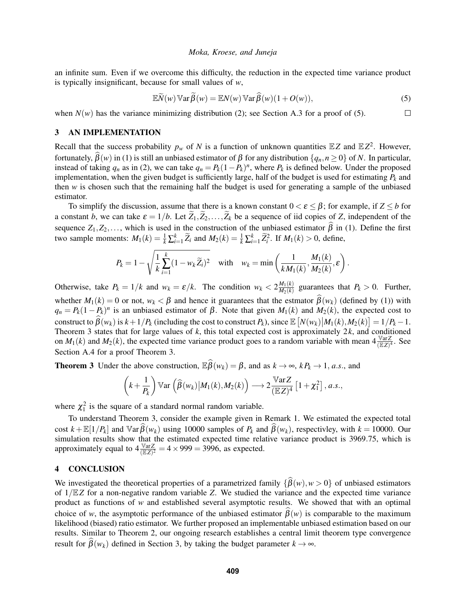an infinite sum. Even if we overcome this difficulty, the reduction in the expected time variance product is typically insignificant, because for small values of *w*,

$$
\mathbb{E}\widetilde{N}(w)\mathbb{V}\text{ar}\widetilde{\beta}(w) = \mathbb{E}N(w)\mathbb{V}\text{ar}\widehat{\beta}(w)(1+O(w)),\tag{5}
$$

<span id="page-5-2"></span>.

when  $N(w)$  has the variance minimizing distribution [\(2\)](#page-2-1); see Section [A.3](#page-9-0) for a proof of [\(5\)](#page-5-2).  $\Box$ 

### <span id="page-5-0"></span>3 AN IMPLEMENTATION

Recall that the success probability  $p_w$  of *N* is a function of unknown quantities  $\mathbb{E}Z$  and  $\mathbb{E}Z^2$ . However, fortunately, bβ(*w*) in [\(1\)](#page-0-0) is still an unbiased estimator of β for any distribution {*qn*,*n* ≥ 0} of *N*. In particular, instead of taking  $q_n$  as in [\(2\)](#page-2-1), we can take  $q_n = P_k(1 - P_k)^n$ , where  $P_k$  is defined below. Under the proposed implementation, when the given budget is sufficiently large, half of the budget is used for estimating  $P_k$  and then *w* is chosen such that the remaining half the budget is used for generating a sample of the unbiased estimator.

To simplify the discussion, assume that there is a known constant  $0 < \varepsilon \leq \beta$ ; for example, if  $Z \leq b$  for a constant *b*, we can take  $\varepsilon = 1/b$ . Let  $\widetilde{Z}_1, \widetilde{Z}_2, \ldots, \widetilde{Z}_k$  be a sequence of iid copies of *Z*, independent of the sequence  $Z_1, Z_2, \ldots$ , which is used in the construction of the unbiased estimator  $\hat{\beta}$  in [\(1\)](#page-0-0). Define the first two sample moments:  $M_1(k) = \frac{1}{k} \sum_{i=1}^k \widetilde{Z}_i$  and  $M_2(k) = \frac{1}{k} \sum_{i=1}^k \widetilde{Z}_i^2$ . If  $M_1(k) > 0$ , define,

$$
P_k = 1 - \sqrt{\frac{1}{k} \sum_{i=1}^k (1 - w_k \widetilde{Z}_i)^2} \quad \text{with} \quad w_k = \min\left(\frac{1}{k M_1(k)}, \frac{M_1(k)}{M_2(k)}, \varepsilon\right)
$$

Otherwise, take  $P_k = 1/k$  and  $w_k = \varepsilon/k$ . The condition  $w_k < 2 \frac{M_1(k)}{M_2(k)}$  $\frac{M_1(k)}{M_2(k)}$  guarantees that  $P_k > 0$ . Further, whether  $M_1(k) = 0$  or not,  $w_k < \beta$  and hence it guarantees that the estmator  $\beta(w_k)$  (defined by [\(1\)](#page-0-0)) with  $q_n = P_k(1 - P_k)^n$  is an unbiased estimator of  $\beta$ . Note that given  $M_1(k)$  and  $M_2(k)$ , the expected cost to construct to  $\widehat{\beta}(w_k)$  is  $k+1/P_k$  (including the cost to construct  $P_k$ ), since  $\mathbb{E}\left[N(w_k)|M_1(k),M_2(k)\right] = 1/P_k - 1$ . Theorem [3](#page-5-3) states that for large values of *k*, this total expected cost is approximately 2*k*, and conditioned on  $M_1(k)$  and  $M_2(k)$ , the expected time variance product goes to a random variable with mean  $4 \frac{\sqrt{ar}Z}{(EZ)^4}$ . See Section [A.4](#page-10-12) for a proof Theorem [3.](#page-5-3)

<span id="page-5-3"></span>**Theorem 3** Under the above construction,  $\mathbb{E} \widehat{\beta}(w_k) = \beta$ , and as  $k \to \infty$ ,  $k P_k \to 1$ , *a.s.*, and

$$
\left(k+\frac{1}{P_k}\right) \mathbb{V}\text{ar}\left(\widehat{\beta}(w_k)\big| M_1(k), M_2(k)\right) \longrightarrow 2\frac{\mathbb{V}\text{ar}\mathbf{Z}}{(\mathbb{E}\mathbf{Z})^4}\left[1+\chi_1^2\right], a.s.,
$$

where  $\chi_1^2$  is the square of a standard normal random variable.

To understand Theorem [3,](#page-5-3) consider the example given in Remark [1.](#page-3-1) We estimated the expected total cost  $k + \mathbb{E}[1/P_k]$  and  $\mathbb{V}$ ar $\beta(w_k)$  using 10000 samples of  $P_k$  and  $\beta(w_k)$ , respectivley, with  $k = 10000$ . Our simulation results show that the estimated expected time relative variance product is 3969.75, which is approximately equal to  $4 \frac{\sqrt{3} \pi Z}{(\sqrt{2})^2} = 4 \times 999 = 3996$ , as expected.

# <span id="page-5-1"></span>4 CONCLUSION

We investigated the theoretical properties of a parametrized family  $\{\beta(w), w > 0\}$  of unbiased estimators of  $1/\mathbb{E}Z$  for a non-negative random variable Z. We studied the variance and the expected time variance product as functions of *w* and established several asymptotic results. We showed that with an optimal choice of *w*, the asymptotic performance of the unbiased estimator  $\beta(w)$  is comparable to the maximum likelihood (biased) ratio estimator. We further proposed an implementable unbiased estimation based on our results. Similar to Theorem [2,](#page-3-2) our ongoing research establishes a central limit theorem type convergence result for  $\hat{\beta}(w_k)$  defined in Section [3,](#page-5-0) by taking the budget parameter  $k \to \infty$ .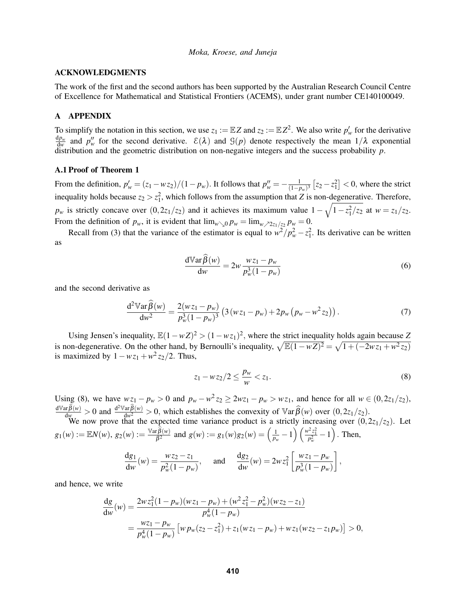## ACKNOWLEDGMENTS

The work of the first and the second authors has been supported by the Australian Research Council Centre of Excellence for Mathematical and Statistical Frontiers (ACEMS), under grant number CE140100049.

## <span id="page-6-0"></span>A APPENDIX

To simplify the notation in this section, we use  $z_1 := \mathbb{E}Z$  and  $z_2 := \mathbb{E}Z^2$ . We also write  $p'_w$  for the derivative d*p<sup>w</sup>*  $\frac{dp_w}{dw}$  and  $p''_w$  for the second derivative.  $\mathcal{E}(\lambda)$  and  $\mathcal{G}(p)$  denote respectively the mean  $1/\lambda$  exponential distribution and the geometric distribution on non-negative integers and the success probability *p*.

### <span id="page-6-1"></span>A.1 Proof of Theorem [1](#page-2-3)

From the definition,  $p'_w = (z_1 - wz_2)/(1 - p_w)$ . It follows that  $p''_w = -\frac{1}{(1 - p_w)^2}$  $\frac{1}{(1-p_w)^3}$   $[z_2 - z_1^2]$  < 0, where the strict inequality holds because  $z_2 > z_1^2$ , which follows from the assumption that *Z* is non-degenerative. Therefore,  $p_w$  is strictly concave over  $(0, 2z_1/z_2)$  and it achieves its maximum value  $1 - \sqrt{1 - z_1^2/z_2}$  at  $w = z_1/z_2$ . From the definition of  $p_w$ , it is evident that  $\lim_{w\searrow 0} p_w = \lim_{w \nearrow 2z_1/z_2} p_w = 0$ .

Recall from [\(3\)](#page-2-2) that the variance of the estimator is equal to  $w^2/p_w^2 - z_1^2$ . Its derivative can be written as

$$
\frac{d\mathbb{V}\text{ar}\widehat{\beta}(w)}{dw} = 2w \frac{wz_1 - p_w}{p_w^3(1 - p_w)}
$$
(6)

and the second derivative as

$$
\frac{d^2 \mathbb{V} ar \widehat{\beta}(w)}{dw^2} = \frac{2(wz_1 - p_w)}{p_w^3 (1 - p_w)^3} \left( 3(wz_1 - p_w) + 2p_w (p_w - w^2 z_2) \right). \tag{7}
$$

Using Jensen's inequality,  $\mathbb{E}(1 - wZ)^2 > (1 - wz_1)^2$ , where the strict inequality holds again because *Z* is non-degenerative. On the other hand, by Bernoulli's inequality,  $\sqrt{\mathbb{E}(1 - wZ)^2} = \sqrt{1 + (-2wz_1 + w^2z_2)}$ is maximized by  $1 - wz_1 + w^2z_2/2$ . Thus,

<span id="page-6-2"></span>
$$
z_1 - wz_2/2 \le \frac{p_w}{w} < z_1. \tag{8}
$$

Using [\(8\)](#page-6-2), we have  $wz_1 - p_w > 0$  and  $p_w - w^2z_2 \ge 2wz_1 - p_w > wz_1$ , and hence for all  $w \in (0, 2z_1/z_2)$ ,  $\frac{d\mathbb{V}\text{ar}\widehat{\beta}(w)}{d\mathbb{W}^2} > 0$  and  $\frac{d^2\mathbb{V}\text{ar}\widehat{\beta}(w)}{d\mathbb{W}^2} > 0$ , which establishes the convexity of  $\mathbb{V}\text{ar}\widehat{\beta}(w)$  over  $(0,2z_1/z_2)$ .

We now prove that the expected time variance product is a strictly increasing over  $(0,2z_1/z_2)$ . Let  $g_1(w) := \mathbb{E}N(w)$ ,  $g_2(w) := \frac{\mathbb{V} \text{ar} \widehat{\beta}(w)}{\beta^2}$  and  $g(w) := g_1(w)g_2(w) = \left(\frac{1}{p_w} - 1\right)\left(\frac{w^2 z_1^2}{p_w^2} - 1\right)$ . Then,

$$
\frac{dg_1}{dw}(w) = \frac{wz_2 - z_1}{p_w^2(1 - p_w)}, \quad \text{and} \quad \frac{dg_2}{dw}(w) = 2wz_1^2 \left[ \frac{wz_1 - p_w}{p_w^3(1 - p_w)} \right],
$$

and hence, we write

$$
\frac{dg}{dw}(w) = \frac{2wz_1^2(1-p_w)(wz_1-p_w) + (w^2z_1^2 - p_w^2)(wz_2 - z_1)}{p_w^4(1-p_w)}
$$
  
= 
$$
\frac{wz_1 - p_w}{p_w^4(1-p_w)} \left[ w p_w(z_2 - z_1^2) + z_1(wz_1 - p_w) + wz_1(wz_2 - z_1p_w) \right] > 0,
$$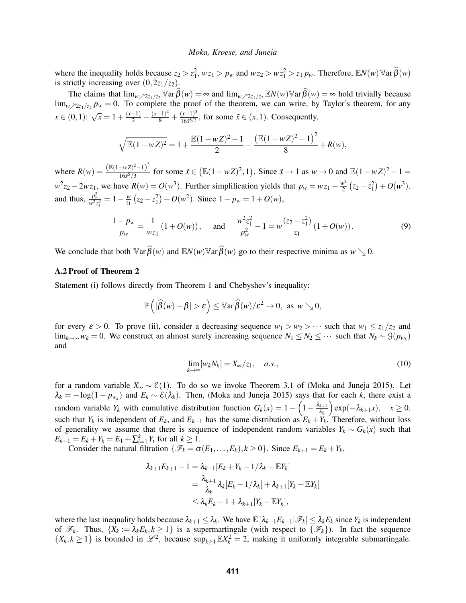where the inequality holds because  $z_2 > z_1^2$ ,  $wz_1 > p_w$  and  $wz_2 > wz_1^2 > z_1 p_w$ . Therefore,  $\mathbb{E}N(w) \mathbb{V}$ ar  $\widehat{\beta}(w)$ is strictly increasing over  $(0,2z_1/z_2)$ .

The claims that  $\lim_{w \to 2z_1/z_2} \sqrt{\frac{w}{2}}$   $\int \sqrt{w} = \infty$  and  $\lim_{w \to 2z_1/z_2} \sqrt{E}N(w) \sqrt{\frac{w}{2}}$   $\int \sqrt{w} = \infty$  hold trivially because  $\lim_{w \nearrow 2z_1/z_2} p_w = 0$ . To complete the proof of the theorem, we can write, by Taylor's theorem, for any  $x \in (0,1)$ :  $\sqrt{x} = 1 + \frac{(x-1)}{2} - \frac{(x-1)^2}{8} + \frac{(x-1)^3}{165^{5/2}}$  $\frac{(x-1)^2}{16\tilde{x}^{5/2}}$ , for some  $\tilde{x} \in (x,1)$ . Consequently,

$$
\sqrt{\mathbb{E}(1-wZ)^2} = 1 + \frac{\mathbb{E}(1-wZ)^2 - 1}{2} - \frac{(\mathbb{E}(1-wZ)^2 - 1)^2}{8} + R(w),
$$

where  $R(w) = \frac{(\mathbb{E}(1-wZ)^2 - 1)^3}{1655/3}$  $\frac{-wZ^2-1}{16x^5/3}$  for some  $\tilde{x} \in (\mathbb{E}(1-wZ)^2, 1)$ . Since  $\tilde{x} \to 1$  as  $w \to 0$  and  $\mathbb{E}(1-wZ)^2-1 =$  $w^2 z_2 - 2w z_1$ , we have  $R(w) = O(w^3)$ . Further simplification yields that  $p_w = w z_1 - \frac{w^2}{2}$  $\frac{v^2}{2}(z_2-z_1^2)+O(w^3),$ and thus,  $\frac{p_w^2}{w^2 z_1^2} = 1 - \frac{w}{z_1}$  $\frac{w}{z_1}(z_2 - z_1^2) + O(w^2)$ . Since  $1 - p_w = 1 + O(w)$ ,

$$
\frac{1 - p_w}{p_w} = \frac{1}{wz_1} \left( 1 + O(w) \right), \quad \text{and} \quad \frac{w^2 z_1^2}{p_w^2} - 1 = w \frac{(z_2 - z_1^2)}{z_1} \left( 1 + O(w) \right). \tag{9}
$$

We conclude that both  $\mathbb{V}\text{ar}\widehat{\beta}(w)$  and  $\mathbb{E}N(w)\mathbb{V}\text{ar}\widehat{\beta}(w)$  go to their respective minima as  $w \searrow 0$ .

# A.2 Proof of Theorem [2](#page-3-2)

Statement (i) follows directly from Theorem [1](#page-2-3) and Chebyshev's inequality:

$$
\mathbb{P}\left(|\widehat{\beta}(w)-\beta|>\varepsilon\right)\leq \mathbb{V}\mathrm{ar}\,\widehat{\beta}(w)/\varepsilon^2\to 0,\text{ as } w\searrow 0,
$$

for every  $\varepsilon > 0$ . To prove (ii), consider a decreasing sequence  $w_1 > w_2 > \cdots$  such that  $w_1 \leq z_1/z_2$  and lim<sub>*k*→∞</sub>  $w_k = 0$ . We construct an almost surely increasing sequence  $N_1 \leq N_2 \leq \cdots$  such that  $N_k \sim \mathcal{G}(p_{w_k})$ and

<span id="page-7-1"></span><span id="page-7-0"></span>
$$
\lim_{k \to \infty} [w_k N_k] = X_{\infty}/z_1, \quad a.s., \tag{10}
$$

for a random variable *X*<sup>∞</sup> ∼ E(1). To do so we invoke Theorem 3.1 of [\(Moka and Juneja 2015\)](#page-11-2). Let  $\lambda_k = -\log(1 - p_{w_k})$  and  $E_k \sim \mathcal{E}(\lambda_k)$ . Then, [\(Moka and Juneja 2015\)](#page-11-2) says that for each *k*, there exist a random variable  $Y_k$  with cumulative distribution function  $G_k(x) = 1 - \left(1 - \frac{\lambda_{k+1}}{\lambda_k}\right)$ λ*k*  $\exp(-\lambda_{k+1}x), \quad x \geq 0,$ such that  $Y_k$  is independent of  $E_k$ , and  $E_{k+1}$  has the same distribution as  $E_k + Y_k$ . Therefore, without loss of generality we assume that there is sequence of independent random variables  $Y_k \sim G_k(x)$  such that  $E_{k+1} = E_k + Y_k = E_1 + \sum_{i=1}^k Y_i$  for all  $k \ge 1$ .

Consider the natural filtration  $\{\mathcal{F}_k = \sigma(E_1, \ldots, E_k), k \ge 0\}$ . Since  $E_{k+1} = E_k + Y_k$ ,

$$
\begin{aligned} \lambda_{k+1} E_{k+1} - 1 &= \lambda_{k+1} [E_k + Y_k - 1/\lambda_k - \mathbb{E} Y_k] \\ &= \frac{\lambda_{k+1}}{\lambda_k} \lambda_k [E_k - 1/\lambda_k] + \lambda_{k+1} [Y_k - \mathbb{E} Y_k] \\ &\le \lambda_k E_k - 1 + \lambda_{k+1} [Y_k - \mathbb{E} Y_k], \end{aligned}
$$

where the last inequality holds because  $\lambda_{k+1} \leq \lambda_k$ . We have  $\mathbb{E}[\lambda_{k+1}E_{k+1}|\mathscr{F}_k] \leq \lambda_k E_k$  since  $Y_k$  is independent of  $\mathcal{F}_k$ . Thus,  $\{X_k := \lambda_k E_k, k \geq 1\}$  is a supermartingale (with respect to  $\{\mathcal{F}_k\}$ ). In fact the sequence  $\{X_k, k \geq 1\}$  is bounded in  $\mathcal{L}^2$ , because  $\sup_{k \geq 1} \mathbb{E} X_k^2 = 2$ , making it uniformly integrable submartingale.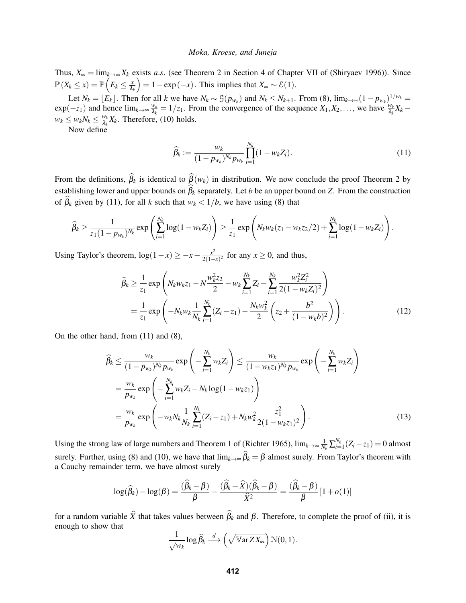Thus,  $X_{\infty} = \lim_{k \to \infty} X_k$  exists *a.s.* (see Theorem 2 in Section 4 of Chapter VII of [\(Shiryaev 1996\)](#page-11-7)). Since  $\mathbb{P}\left(X_k \leq x\right) = \mathbb{P}\left(E_k \leq \frac{x}{\lambda}\right)$ λ*k*  $= 1 - \exp(-x)$ . This implies that  $X_{\infty} \sim \mathcal{E}(1)$ .

Let  $N_k = \lfloor E_k \rfloor$ . Then for all k we have  $N_k \sim \mathcal{G}(p_{w_k})$  and  $N_k \le N_{k+1}$ . From [\(8\)](#page-6-2),  $\lim_{k \to \infty} (1 - p_{w_k})^{1/w_k} =$  $\exp(-z_1)$  and hence  $\lim_{k\to\infty}\frac{w_k}{\lambda_k}$  $\frac{w_k}{\lambda_k} = 1/z_1$ . From the convergence of the sequence  $X_1, X_2, \ldots$ , we have  $\frac{w_k}{\lambda_k} X_k$  –  $w_k \leq w_k N_k \leq \frac{w_k}{\lambda_k}$  $\frac{w_k}{\lambda_k} X_k$ . Therefore, [\(10\)](#page-7-0) holds.

Now define

<span id="page-8-1"></span><span id="page-8-0"></span>
$$
\widehat{\beta}_k := \frac{w_k}{(1 - p_{w_k})^{N_k} p_{w_k}} \prod_{i=1}^{N_k} (1 - w_k Z_i).
$$
\n(11)

From the definitions,  $\hat{\beta}_k$  is identical to  $\hat{\beta}(w_k)$  in distribution. We now conclude the proof Theorem [2](#page-3-2) by establishing lower and upper bounds on  $\hat{\beta}_k$  separately. Let *b* be an upper bound on *Z*. From the construction of  $\hat{\beta}_k$  given by [\(11\)](#page-8-0), for all *k* such that  $w_k < 1/b$ , we have using [\(8\)](#page-6-2) that

$$
\widehat{\beta}_k \geq \frac{1}{z_1(1-p_{w_k})^{N_k}} \exp\left(\sum_{i=1}^{N_k} \log(1-w_k Z_i)\right) \geq \frac{1}{z_1} \exp\left(N_k w_k (z_1-w_k z_2/2) + \sum_{i=1}^{N_k} \log(1-w_k Z_i)\right).
$$

Using Taylor's theorem,  $\log(1-x) \ge -x - \frac{x^2}{2(1-x)}$  $\frac{x^2}{2(1-x)^2}$  for any *x* ≥ 0, and thus,

$$
\widehat{\beta}_k \ge \frac{1}{z_1} \exp\left(N_k w_k z_1 - N \frac{w_k^2 z_2}{2} - w_k \sum_{i=1}^{N_k} Z_i - \sum_{i=1}^{N_k} \frac{w_k^2 Z_i^2}{2(1 - w_k Z_i)^2}\right)
$$
\n
$$
= \frac{1}{z_1} \exp\left(-N_k w_k \frac{1}{N_k} \sum_{i=1}^{N_k} (Z_i - z_1) - \frac{N_k w_k^2}{2} \left(z_2 + \frac{b^2}{(1 - w_k b)^2}\right)\right).
$$
\n(12)

On the other hand, from [\(11\)](#page-8-0) and [\(8\)](#page-6-2),

$$
\widehat{\beta}_k \le \frac{w_k}{(1 - p_{w_k})^{N_k} p_{w_k}} \exp\left(-\sum_{i=1}^{N_k} w_k Z_i\right) \le \frac{w_k}{(1 - w_k z_1)^{N_k} p_{w_k}} \exp\left(-\sum_{i=1}^{N_k} w_k Z_i\right)
$$
\n
$$
= \frac{w_k}{p_{w_k}} \exp\left(-\sum_{i=1}^{N_k} w_k Z_i - N_k \log(1 - w_k z_1)\right)
$$
\n
$$
= \frac{w_k}{p_{w_k}} \exp\left(-w_k N_k \frac{1}{N_k} \sum_{i=1}^{N_k} (Z_i - z_1) + N_k w_k^2 \frac{z_1^2}{2(1 - w_k z_1)^2}\right).
$$
\n(13)

Using the strong law of large numbers and Theorem 1 of [\(Richter 1965\)](#page-11-8),  $\lim_{k\to\infty}\frac{1}{N_k}\sum_{i=1}^{N_k}(Z_i - z_1) = 0$  almost surely. Further, using [\(8\)](#page-6-2) and [\(10\)](#page-7-0), we have that  $\lim_{k\to\infty} \beta_k = \beta$  almost surely. From Taylor's theorem with a Cauchy remainder term, we have almost surely

$$
\log(\widehat{\beta}_k) - \log(\beta) = \frac{(\widehat{\beta}_k - \beta)}{\beta} - \frac{(\widehat{\beta}_k - \widehat{X})(\widehat{\beta}_k - \beta)}{\widehat{X}^2} = \frac{(\widehat{\beta}_k - \beta)}{\beta} [1 + o(1)]
$$

for a random variable  $\hat{X}$  that takes values between  $\hat{\beta}_k$  and  $\beta$ . Therefore, to complete the proof of (ii), it is enough to show that

<span id="page-8-2"></span>
$$
\frac{1}{\sqrt{w_k}}\log \widehat{\beta}_k \stackrel{d}{\longrightarrow} \left(\sqrt{\mathbb{V}\text{ar} ZX_{\infty}}\right) \mathcal{N}(0,1).
$$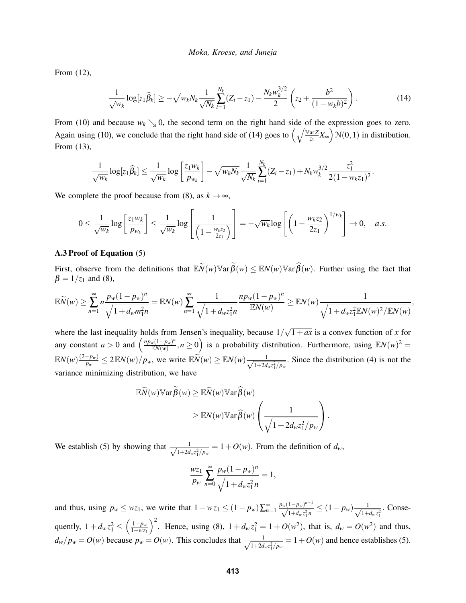From [\(12\)](#page-8-1),

<span id="page-9-1"></span>
$$
\frac{1}{\sqrt{w_k}} \log[z_1 \widehat{\beta}_k] \ge -\sqrt{w_k N_k} \frac{1}{\sqrt{N_k}} \sum_{i=1}^{N_k} (Z_i - z_1) - \frac{N_k w_k^{3/2}}{2} \left( z_2 + \frac{b^2}{(1 - w_k b)^2} \right). \tag{14}
$$

From [\(10\)](#page-7-0) and because  $w_k \searrow 0$ , the second term on the right hand side of the expression goes to zero. Again using [\(10\)](#page-7-0), we conclude that the right hand side of [\(14\)](#page-9-1) goes to  $\left(\sqrt{\frac{\sqrt{x}aZ}{z_1}}X_{\infty}\right)N(0,1)$  in distribution. From [\(13\)](#page-8-2),

$$
\frac{1}{\sqrt{w_k}} \log [z_1 \widehat{\beta}_k] \leq \frac{1}{\sqrt{w_k}} \log \left[ \frac{z_1 w_k}{p_{w_k}} \right] - \sqrt{w_k N_k} \frac{1}{\sqrt{N_k}} \sum_{i=1}^{N_k} (Z_i - z_1) + N_k w_k^{3/2} \frac{z_1^2}{2(1 - w_k z_1)^2}.
$$

We complete the proof because from [\(8\)](#page-6-2), as  $k \to \infty$ ,

$$
0 \leq \frac{1}{\sqrt{w_k}} \log \left[ \frac{z_1 w_k}{p_{w_k}} \right] \leq \frac{1}{\sqrt{w_k}} \log \left[ \frac{1}{\left( 1 - \frac{w_k z_2}{2z_1} \right)} \right] = -\sqrt{w_k} \log \left[ \left( 1 - \frac{w_k z_2}{2z_1} \right)^{1/w_k} \right] \to 0, \quad a.s.
$$

### <span id="page-9-0"></span>A.3 Proof of Equation [\(5\)](#page-5-2)

First, observe from the definitions that  $\mathbb{E} \widetilde{\mathcal{N}}(w) \mathbb{V}$ ar  $\widetilde{\beta}(w) \leq \mathbb{E} \mathcal{N}(w) \mathbb{V}$ ar  $\widehat{\beta}(w)$ . Further using the fact that  $\beta = 1/z_1$  and [\(8\)](#page-6-2),

$$
\mathbb{E}\widetilde{N}(w) \geq \sum_{n=1}^{\infty} n \frac{p_w(1-p_w)^n}{\sqrt{1+d_w m_1^2 n}} = \mathbb{E}N(w) \sum_{n=1}^{\infty} \frac{1}{\sqrt{1+d_w z_1^2 n}} \frac{np_w(1-p_w)^n}{\mathbb{E}N(w)} \geq \mathbb{E}N(w) \frac{1}{\sqrt{1+d_w z_1^2 \mathbb{E}N(w)^2/\mathbb{E}N(w)}},
$$

where the last inequality holds from Jensen's inequality, because  $1/$ √  $1+ax$  is a convex function of x for any constant  $a > 0$  and  $\left(\frac{np_w(1-p_w)^n}{\mathbb{R}N(w)}\right)$  $\frac{f_w(1-p_w)^n}{\mathbb{E}N(w)}, n \ge 0$  is a probability distribution. Furthermore, using  $\mathbb{E}N(w)^2 =$  $\mathbb{E}N(w)\frac{(2-p_w)}{n}$  $\frac{p^2 - p_w}{p_w} \le 2 \mathbb{E}N(w) / p_w$ , we write  $\mathbb{E} \widetilde{N}(w) \ge \mathbb{E}N(w) \frac{1}{\sqrt{1 + 2d}}$  $\frac{1}{1+2d_wz_1^2/p_w}$ . Since the distribution [\(4\)](#page-4-1) is not the variance minimizing distribution, we have

$$
\mathbb{E}\widetilde{N}(w)\mathbb{V}\text{ar}\widetilde{\beta}(w) \geq \mathbb{E}\widetilde{N}(w)\mathbb{V}\text{ar}\widehat{\beta}(w)
$$

$$
\geq \mathbb{E}N(w)\mathbb{V}\text{ar}\widehat{\beta}(w)\left(\frac{1}{\sqrt{1+2d_wz_1^2/p_w}}\right).
$$

We establish [\(5\)](#page-5-2) by showing that  $\frac{1}{\sqrt{1+\epsilon}}$  $\frac{1}{1+2d_wz_1^2/p_w} = 1+O(w)$ . From the definition of  $d_w$ ,

$$
\frac{wz_1}{p_w} \sum_{n=0}^{\infty} \frac{p_w (1 - p_w)^n}{\sqrt{1 + d_w z_1^2 n}} = 1,
$$

and thus, using  $p_w \le wz_1$ , we write that  $1 - wz_1 \le (1 - p_w) \sum_{n=1}^{\infty} \frac{p_w (1 - p_w)^{n-1}}{\sqrt{1 + d_w z_1^2 n}} \le (1 - p_w) \frac{1}{\sqrt{1 + d_w z_1^2 n}}$  $\frac{1}{1+d_w z_1^2}$ . Consequently,  $1 + d_w z_1^2 \le \left(\frac{1 - p_w}{1 - wz}\right)$ 1−*w z*<sup>1</sup> <sup>2</sup>. Hence, using [\(8\)](#page-6-2),  $1 + d_w z_1^2 = 1 + O(w^2)$ , that is,  $d_w = O(w^2)$  and thus,  $d_w/p_w = O(w)$  because  $p_w = O(w)$ . This concludes that  $\frac{1}{\sqrt{1+2d}}$  $\frac{1}{1+2d_wz_1^2/p_w} = 1+O(w)$  and hence establishes [\(5\)](#page-5-2).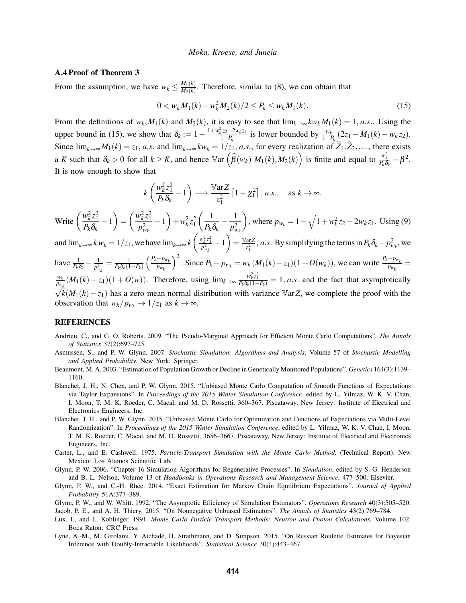## <span id="page-10-12"></span>A.4 Proof of Theorem [3](#page-5-3)

From the assumption, we have  $w_k \leq \frac{M_1(k)}{M_2(k)}$  $\frac{M_1(k)}{M_2(k)}$ . Therefore, similar to [\(8\)](#page-6-2), we can obtain that

<span id="page-10-13"></span>0 < *w<sub>k</sub> M*<sub>1</sub>(*k*) − *w*<sub>k</sub><sup>2</sup> *M*<sub>2</sub>(*k*)/2 ≤ *P*<sub>*k*</sub> ≤ *w<sub>k</sub> M*<sub>1</sub>(*k*). (15)

From the definitions of  $w_k$ ,  $M_1(k)$  and  $M_2(k)$ , it is easy to see that  $\lim_{k\to\infty} k w_k M_1(k) = 1$ , *a.s.*. Using the upper bound in [\(15\)](#page-10-13), we show that  $\delta_k := 1 - \frac{1 + w_k^2 z_2 - 2w_k z_1}{1 - P_k}$  $\frac{i}{1-P_k}$  is lower bounded by  $\frac{w_k}{1-P_k}(2z_1 - M_1(k) - w_k z_2)$ . Since  $\lim_{k\to\infty} M_1(k) = z_1$ , *a.s.* and  $\lim_{k\to\infty} kw_k = 1/z_1$ , *a.s.*, for every realization of  $\widetilde{Z}_1, \widetilde{Z}_2, \ldots$ , there exists a *K* such that  $\delta_k > 0$  for all  $k \geq K$ , and hence  $\mathbb{V}\text{ar}\left(\widehat{\beta}(w_k)|M_1(k),M_2(k)\right)$  is finite and equal to  $\frac{w_k^2}{P_k \delta_k} - \beta^2$ . It is now enough to show that

$$
k\left(\frac{w_k^2 z_1^2}{P_k \delta_k} - 1\right) \longrightarrow \frac{\mathbb{V}\text{ar}Z}{z_1^2} \left[1 + \chi_1^2\right], a.s., \text{ as } k \to \infty.
$$

Write  $\left(\frac{w_k^2 z_1^2}{R}\right)$  $\left(\frac{w_k^2 z_1^2}{P_k\delta_k} - 1\right) = \left(\frac{w_k^2 z_1^2}{p_{w_k}^2}\right)$  $p_{w_k}^2$  $-1$  +  $w_k^2 z_1^2$  $\begin{pmatrix} 1 \end{pmatrix}$  $\frac{1}{P_k\delta_k}-\frac{1}{p_w^2}$  $p_{w_k}^2$ ), where  $p_{w_k} = 1 - \sqrt{1 + w_k^2 z_2 - 2w_k z_1}$ . Using [\(9\)](#page-7-1)

and  $\lim_{k\to\infty} k w_k = 1/z_1$ , we have  $\lim_{k\to\infty} k\left(\frac{w_k^2 z_1^2}{p_{w_k}^2} - 1\right) = \frac{\text{Var}Z}{z_1^2}$  $\frac{arZ}{z_1^2}$ , *a.s.* By simplifying the terms in  $P_k \delta_k - p_{w_k}^2$ , we have  $\frac{1}{P_k \delta_k} - \frac{1}{p_{\scriptscriptstyle W}^2}$  $\frac{1}{p_{w_k}^2} = \frac{1}{P_k\delta_k(1-P_k)}$  *Pk*−*pwk pwk*  $\int_0^2$ . Since  $P_k - p_{w_k} = w_k (M_1(k) - z_1)(1 + O(w_k))$ , we can write  $\frac{P_k - p_{w_k}}{p_{w_k}} =$ *wk*  $\frac{w_k}{p_{w_k}}(M_1(k)-z_1)(1+O(w)).$  Therefore, using  $\lim_{k\to\infty} \frac{w_k^2 z_1^2}{P_k \delta_k(1-P_k)}=1$ , *a.s.* and the fact that asymptotically

 $\sqrt{k}(M_1(k)-z_1)$  has a zero-mean normal distribution with variance Var*Z*, we complete the proof with the observation that  $w_k/p_{w_k} \to 1/z_1$  as  $k \to \infty$ .

## REFERENCES

- <span id="page-10-6"></span>Andrieu, C., and G. O. Roberts. 2009. "The Pseudo-Marginal Approach for Efficient Monte Carlo Computations". *The Annals of Statistics* 37(2):697–725.
- <span id="page-10-4"></span>Asmussen, S., and P. W. Glynn. 2007. *Stochastic Simulation: Algorithms and Analysis*, Volume 57 of *Stochastic Modelling and Applied Probability*. New York: Springer.
- <span id="page-10-7"></span>Beaumont, M. A. 2003. "Estimation of Population Growth or Decline in Genetically Monitored Populations". *Genetics* 164(3):1139– 1160.
- <span id="page-10-0"></span>Blanchet, J. H., N. Chen, and P. W. Glynn. 2015. "Unbiased Monte Carlo Computation of Smooth Functions of Expectations via Taylor Expansions". In *Proceedings of the 2015 Winter Simulation Conference*, edited by L. Yilmaz, W. K. V. Chan, I. Moon, T. M. K. Roeder, C. Macal, and M. D. Rossetti, 360–367. Piscataway, New Jersey: Institute of Electrical and Electronics Engineers, Inc.
- <span id="page-10-1"></span>Blanchet, J. H., and P. W. Glynn. 2015. "Unbiased Monte Carlo for Optimization and Functions of Expectations via Multi-Level Randomization". In *Proceedings of the 2015 Winter Simulation Conference*, edited by L. Yilmaz, W. K. V. Chan, I. Moon, T. M. K. Roeder, C. Macal, and M. D. Rossetti, 3656–3667. Piscataway, New Jersey: Institute of Electrical and Electronics Engineers, Inc.
- <span id="page-10-8"></span>Carter, L., and E. Cashwell. 1975. *Particle-Transport Simulation with the Monte Carlo Method*. (Technical Report). New Mexico: Los Alamos Scientific Lab.
- <span id="page-10-3"></span>Glynn, P. W. 2006. "Chapter 16 Simulation Algorithms for Regenerative Processes". In *Simulation*, edited by S. G. Henderson and B. L. Nelson, Volume 13 of *Handbooks in Operations Research and Management Science*, 477–500. Elsevier.
- <span id="page-10-10"></span>Glynn, P. W., and C.-H. Rhee. 2014. "Exact Estimation for Markov Chain Equilibrium Expectations". *Journal of Applied Probability* 51A:377–389.
- <span id="page-10-11"></span><span id="page-10-2"></span>Glynn, P. W., and W. Whitt. 1992. "The Asymptotic Efficiency of Simulation Estimators". *Operations Research* 40(3):505–520. Jacob, P. E., and A. H. Thiery. 2015. "On Nonnegative Unbiased Estimators". *The Annals of Statistics* 43(2):769–784.
- <span id="page-10-9"></span>Lux, I., and L. Koblinger. 1991. *Monte Carlo Particle Transport Methods: Neutron and Photon Calculations*, Volume 102. Boca Raton: CRC Press.
- <span id="page-10-5"></span>Lyne, A.-M., M. Girolami, Y. Atchadé, H. Strathmann, and D. Simpson. 2015. "On Russian Roulette Estimates for Bayesian Inference with Doubly-Intractable Likelihoods". *Statistical Science* 30(4):443–467.